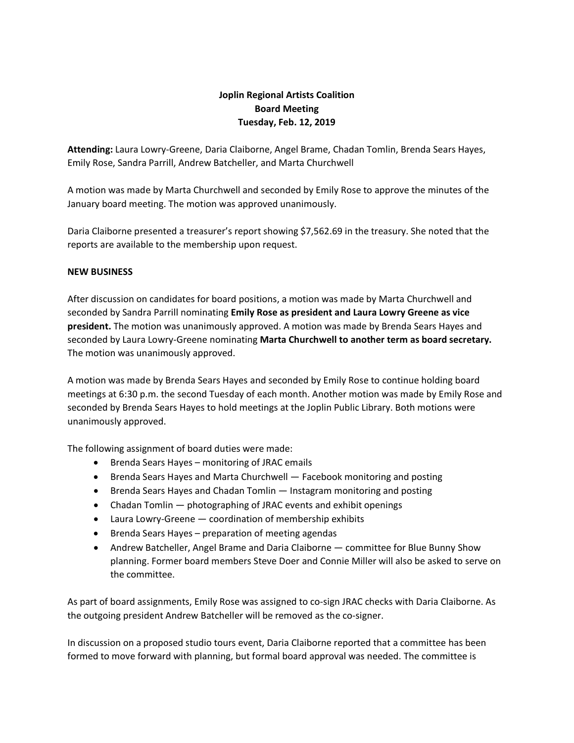## **Joplin Regional Artists Coalition Board Meeting Tuesday, Feb. 12, 2019**

**Attending:** Laura Lowry-Greene, Daria Claiborne, Angel Brame, Chadan Tomlin, Brenda Sears Hayes, Emily Rose, Sandra Parrill, Andrew Batcheller, and Marta Churchwell

A motion was made by Marta Churchwell and seconded by Emily Rose to approve the minutes of the January board meeting. The motion was approved unanimously.

Daria Claiborne presented a treasurer's report showing \$7,562.69 in the treasury. She noted that the reports are available to the membership upon request.

## **NEW BUSINESS**

After discussion on candidates for board positions, a motion was made by Marta Churchwell and seconded by Sandra Parrill nominating **Emily Rose as president and Laura Lowry Greene as vice president.** The motion was unanimously approved. A motion was made by Brenda Sears Hayes and seconded by Laura Lowry-Greene nominating **Marta Churchwell to another term as board secretary.** The motion was unanimously approved.

A motion was made by Brenda Sears Hayes and seconded by Emily Rose to continue holding board meetings at 6:30 p.m. the second Tuesday of each month. Another motion was made by Emily Rose and seconded by Brenda Sears Hayes to hold meetings at the Joplin Public Library. Both motions were unanimously approved.

The following assignment of board duties were made:

- Brenda Sears Hayes monitoring of JRAC emails
- Brenda Sears Hayes and Marta Churchwell Facebook monitoring and posting
- Brenda Sears Hayes and Chadan Tomlin Instagram monitoring and posting
- Chadan Tomlin photographing of JRAC events and exhibit openings
- Laura Lowry-Greene coordination of membership exhibits
- Brenda Sears Hayes preparation of meeting agendas
- Andrew Batcheller, Angel Brame and Daria Claiborne committee for Blue Bunny Show planning. Former board members Steve Doer and Connie Miller will also be asked to serve on the committee.

As part of board assignments, Emily Rose was assigned to co-sign JRAC checks with Daria Claiborne. As the outgoing president Andrew Batcheller will be removed as the co-signer.

In discussion on a proposed studio tours event, Daria Claiborne reported that a committee has been formed to move forward with planning, but formal board approval was needed. The committee is